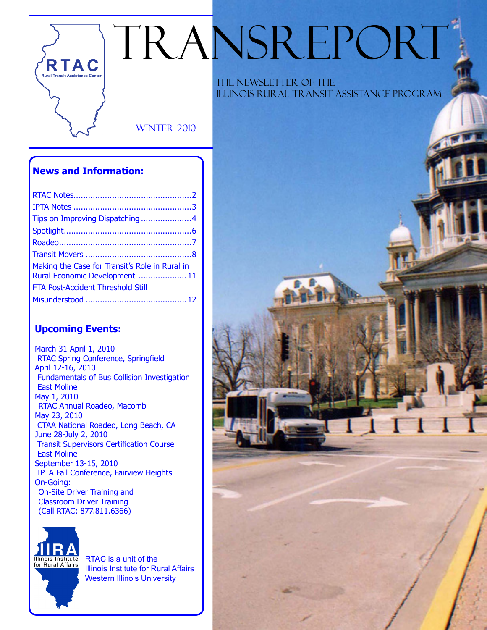# TRANSREPORT

**WINTER 2010** 

#### **News and Information:**

**RTAC Rural Transit Assistance Cente** 

| Tips on Improving Dispatching4                                                   |  |
|----------------------------------------------------------------------------------|--|
|                                                                                  |  |
|                                                                                  |  |
|                                                                                  |  |
| Making the Case for Transit's Role in Rural in<br>Rural Economic Development  11 |  |
| FTA Post-Accident Threshold Still                                                |  |
|                                                                                  |  |

#### **Upcoming Events:**

March 31-April 1, 2010 RTAC Spring Conference, Springfield April 12-16, 2010 Fundamentals of Bus Collision Investigation East Moline May 1, 2010 RTAC Annual Roadeo, Macomb May 23, 2010 CTAA National Roadeo, Long Beach, CA June 28-July 2, 2010 Transit Supervisors Certification Course East Moline September 13-15, 2010 IPTA Fall Conference, Fairview Heights On-Going: On-Site Driver Training and Classroom Driver Training (Call RTAC: 877.811.6366)



RTAC is a unit of the Illinois Institute for Rural Affairs Western Illinois University

 The Newsletter of the Illinois Rural Transit Assistance Program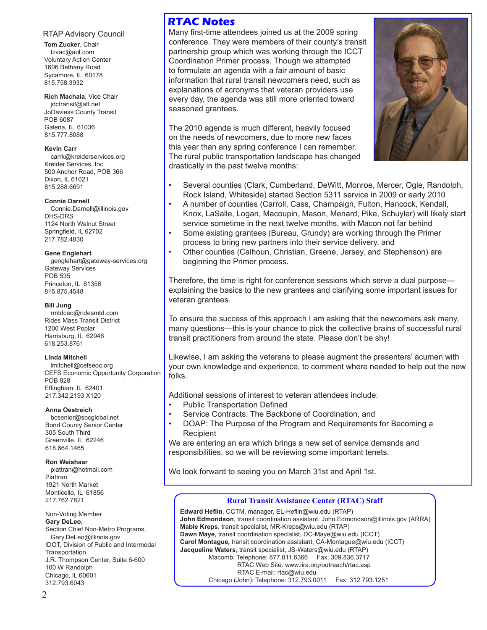#### RTAP Advisory Council

**Tom Zucker**, Chair tzvac@aol.com Voluntary Action Center 1606 Bethany Road Sycamore, IL 60178 815.758.3932

**Rich Machala**, Vice Chair jdctransit@att.net JoDaviess County Transit POB 6087 Galena, IL 61036 815.777.8088

#### **Kevin Carr**

carrk@kreiderservices.org Kreider Services, Inc. 500 Anchor Road, POB 366 Dixon, IL 61021 815.288.6691

#### **Connie Darnell**

Connie.Darnell@illinois.gov DHS-DRS 1124 North Walnut Street Springfield, IL 62702 217.782.4830

#### **Gene Englehart**

genglehart@gateway-services.org Gateway Services POB 535 Princeton, IL 61356 815.875.4548

#### **Bill Jung**

rmtdceo@ridesmtd.com Rides Mass Transit District 1200 West Poplar Harrisburg, IL 62946 618.253.8761

#### **Linda Mitchell**

lmitchell@cefseoc.org CEFS Economic Opportunity Corporation POB 928 Effingham, IL 62401 217.342.2193 X120

#### **Anna Oestreich**

bcsenior@sbcglobal.net Bond County Senior Center 305 South Third Greenville, IL 62246 618.664.1465

**Ron Weishaar**

piattran@hotmail.com Piattran 1921 North Market Monticello, IL 61856 217.762.7821

Non-Voting Member **Gary DeLeo,** Section Chief Non-Metro Programs, Gary.DeLeo@illinois.gov IDOT, Division of Public and Intermodal **Transportation** J.R. Thompson Center, Suite 6-600 100 W Randolph Chicago, IL 60601 312.793.6043

#### **RTAC Notes**

Many first-time attendees joined us at the 2009 spring conference. They were members of their county's transit partnership group which was working through the ICCT Coordination Primer process. Though we attempted to formulate an agenda with a fair amount of basic information that rural transit newcomers need, such as explanations of acronyms that veteran providers use every day, the agenda was still more oriented toward seasoned grantees.

The 2010 agenda is much different, heavily focused on the needs of newcomers, due to more new faces this year than any spring conference I can remember. The rural public transportation landscape has changed drastically in the past twelve months:



- Several counties (Clark, Cumberland, DeWitt, Monroe, Mercer, Ogle, Randolph, Rock Island, Whiteside) started Section 5311 service in 2009 or early 2010
- A number of counties (Carroll, Cass, Champaign, Fulton, Hancock, Kendall, Knox, LaSalle, Logan, Macoupin, Mason, Menard, Pike, Schuyler) will likely start service sometime in the next twelve months, with Macon not far behind
- Some existing grantees (Bureau, Grundy) are working through the Primer process to bring new partners into their service delivery, and
- Other counties (Calhoun, Christian, Greene, Jersey, and Stephenson) are beginning the Primer process.

Therefore, the time is right for conference sessions which serve a dual purpose explaining the basics to the new grantees and clarifying some important issues for veteran grantees.

To ensure the success of this approach I am asking that the newcomers ask many, many questions—this is your chance to pick the collective brains of successful rural transit practitioners from around the state. Please don't be shy!

Likewise, I am asking the veterans to please augment the presenters' acumen with your own knowledge and experience, to comment where needed to help out the new folks.

Additional sessions of interest to veteran attendees include:

- Public Transportation Defined
- Service Contracts: The Backbone of Coordination, and
- DOAP: The Purpose of the Program and Requirements for Becoming a Recipient

We are entering an era which brings a new set of service demands and responsibilities, so we will be reviewing some important tenets.

We look forward to seeing you on March 31st and April 1st.

#### **Rural Transit Assistance Center (RTAC) Staff**

**Edward Heflin**, CCTM, manager, EL-Heflin@wiu.edu (RTAP) **John Edmondson**, transit coordination assistant, John.Edmondson@illinois.gov (ARRA) **Mable Kreps**, transit specialist, MR-Kreps@wiu.edu (RTAP) **Dawn Maye**, transit coordination specialist, DC-Maye@wiu.edu (ICCT) **Carol Montague,** transit coordination assistant, CA-Montague@wiu.edu (ICCT) **Jacqueline Waters**, transit specialist, JS-Waters@wiu.edu (RTAP) Macomb: Telephone: 877.811.6366 Fax: 309.836.3717 RTAC Web Site: www.iira.org/outreach/rtac.asp RTAC E-mail: rtac@wiu.edu Chicago (John): Telephone: 312.793.0011 Fax: 312.793.1251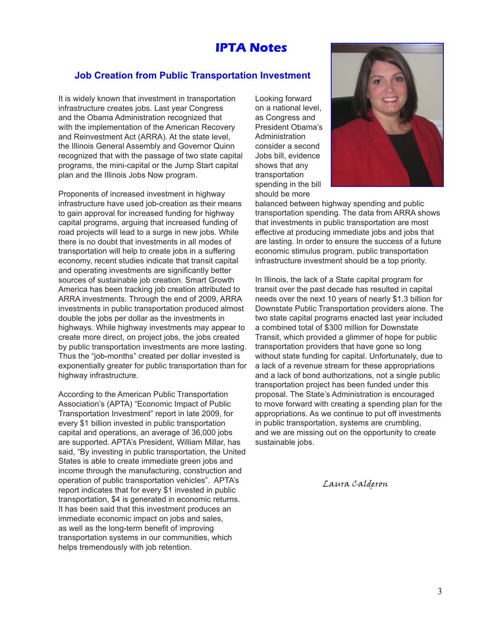#### **IPTA Notes**

#### **Job Creation from Public Transportation Investment**

It is widely known that investment in transportation infrastructure creates jobs. Last year Congress and the Obama Administration recognized that with the implementation of the American Recovery and Reinvestment Act (ARRA). At the state level, the Illinois General Assembly and Governor Quinn recognized that with the passage of two state capital programs, the mini-capital or the Jump Start capital plan and the Illinois Jobs Now program.

Proponents of increased investment in highway infrastructure have used job-creation as their means to gain approval for increased funding for highway capital programs, arguing that increased funding of road projects will lead to a surge in new jobs. While there is no doubt that investments in all modes of transportation will help to create jobs in a suffering economy, recent studies indicate that transit capital and operating investments are significantly better sources of sustainable job creation. Smart Growth America has been tracking job creation attributed to ARRA investments. Through the end of 2009, ARRA investments in public transportation produced almost double the jobs per dollar as the investments in highways. While highway investments may appear to create more direct, on project jobs, the jobs created by public transportation investments are more lasting. Thus the "job-months" created per dollar invested is exponentially greater for public transportation than for highway infrastructure.

According to the American Public Transportation Association's (APTA) "Economic Impact of Public Transportation Investment" report in late 2009, for every \$1 billion invested in public transportation capital and operations, an average of 36,000 jobs are supported. APTA's President, William Millar, has said, "By investing in public transportation, the United States is able to create immediate green jobs and income through the manufacturing, construction and operation of public transportation vehicles". APTA's report indicates that for every \$1 invested in public transportation, \$4 is generated in economic returns. It has been said that this investment produces an immediate economic impact on jobs and sales, as well as the long-term benefit of improving transportation systems in our communities, which helps tremendously with job retention.

Looking forward on a national level, as Congress and President Obama's Administration consider a second Jobs bill, evidence shows that any transportation spending in the bill should be more



balanced between highway spending and public transportation spending. The data from ARRA shows that investments in public transportation are most effective at producing immediate jobs and jobs that are lasting. In order to ensure the success of a future economic stimulus program, public transportation infrastructure investment should be a top priority.

In Illinois, the lack of a State capital program for transit over the past decade has resulted in capital needs over the next 10 years of nearly \$1.3 billion for Downstate Public Transportation providers alone. The two state capital programs enacted last year included a combined total of \$300 million for Downstate Transit, which provided a glimmer of hope for public transportation providers that have gone so long without state funding for capital. Unfortunately, due to a lack of a revenue stream for these appropriations and a lack of bond authorizations, not a single public transportation project has been funded under this proposal. The State's Administration is encouraged to move forward with creating a spending plan for the appropriations. As we continue to put off investments in public transportation, systems are crumbling, and we are missing out on the opportunity to create sustainable jobs.

Laura Calderon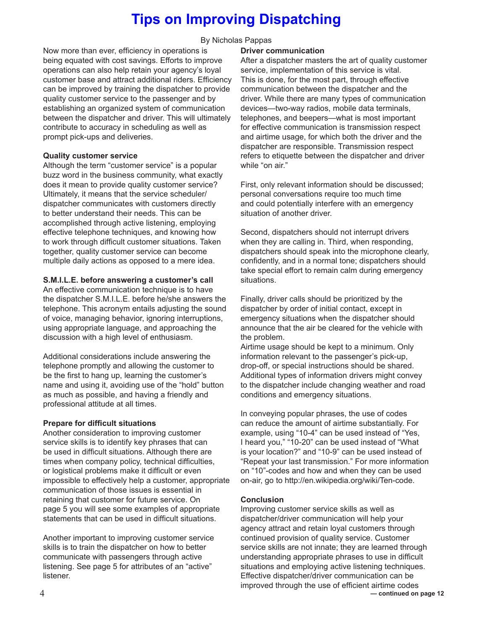# **Tips on Improving Dispatching**

By Nicholas Pappas

Now more than ever, efficiency in operations is being equated with cost savings. Efforts to improve operations can also help retain your agency's loyal customer base and attract additional riders. Efficiency can be improved by training the dispatcher to provide quality customer service to the passenger and by establishing an organized system of communication between the dispatcher and driver. This will ultimately contribute to accuracy in scheduling as well as prompt pick-ups and deliveries.

#### **Quality customer service**

Although the term "customer service" is a popular buzz word in the business community, what exactly does it mean to provide quality customer service? Ultimately, it means that the service scheduler/ dispatcher communicates with customers directly to better understand their needs. This can be accomplished through active listening, employing effective telephone techniques, and knowing how to work through difficult customer situations. Taken together, quality customer service can become multiple daily actions as opposed to a mere idea.

#### **S.M.I.L.E. before answering a customer's call**

An effective communication technique is to have the dispatcher S.M.I.L.E. before he/she answers the telephone. This acronym entails adjusting the sound of voice, managing behavior, ignoring interruptions, using appropriate language, and approaching the discussion with a high level of enthusiasm.

Additional considerations include answering the telephone promptly and allowing the customer to be the first to hang up, learning the customer's name and using it, avoiding use of the "hold" button as much as possible, and having a friendly and professional attitude at all times.

#### **Prepare for difficult situations**

Another consideration to improving customer service skills is to identify key phrases that can be used in difficult situations. Although there are times when company policy, technical difficulties, or logistical problems make it difficult or even impossible to effectively help a customer, appropriate communication of those issues is essential in retaining that customer for future service. On page 5 you will see some examples of appropriate statements that can be used in difficult situations.

Another important to improving customer service skills is to train the dispatcher on how to better communicate with passengers through active listening. See page 5 for attributes of an "active" listener.

#### **Driver communication**

After a dispatcher masters the art of quality customer service, implementation of this service is vital. This is done, for the most part, through effective communication between the dispatcher and the driver. While there are many types of communication devices—two-way radios, mobile data terminals, telephones, and beepers—what is most important for effective communication is transmission respect and airtime usage, for which both the driver and the dispatcher are responsible. Transmission respect refers to etiquette between the dispatcher and driver while "on air."

First, only relevant information should be discussed; personal conversations require too much time and could potentially interfere with an emergency situation of another driver.

Second, dispatchers should not interrupt drivers when they are calling in. Third, when responding, dispatchers should speak into the microphone clearly, confidently, and in a normal tone; dispatchers should take special effort to remain calm during emergency situations.

Finally, driver calls should be prioritized by the dispatcher by order of initial contact, except in emergency situations when the dispatcher should announce that the air be cleared for the vehicle with the problem.

Airtime usage should be kept to a minimum. Only information relevant to the passenger's pick-up, drop-off, or special instructions should be shared. Additional types of information drivers might convey to the dispatcher include changing weather and road conditions and emergency situations.

In conveying popular phrases, the use of codes can reduce the amount of airtime substantially. For example, using "10-4" can be used instead of "Yes, I heard you," "10-20" can be used instead of "What is your location?" and "10-9" can be used instead of "Repeat your last transmission." For more information on "10"-codes and how and when they can be used on-air, go to http://en.wikipedia.org/wiki/Ten-code.

#### **Conclusion**

Improving customer service skills as well as dispatcher/driver communication will help your agency attract and retain loyal customers through continued provision of quality service. Customer service skills are not innate; they are learned through understanding appropriate phrases to use in difficult situations and employing active listening techniques. Effective dispatcher/driver communication can be improved through the use of efficient airtime codes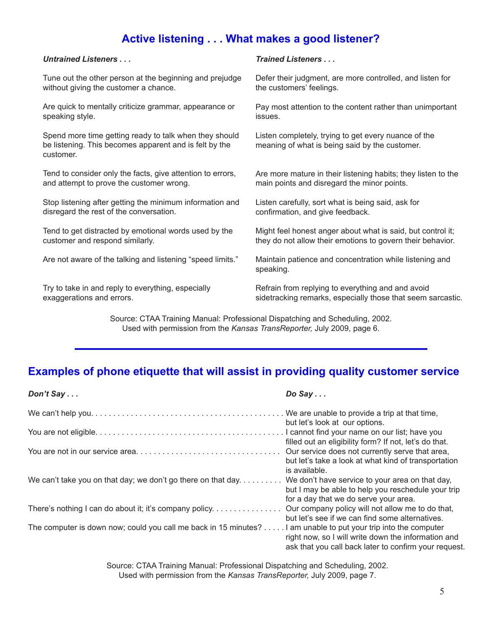#### **Active listening . . . What makes a good listener?**

#### *Untrained Listeners . . .*

Tune out the other person at the beginning and prejudge without giving the customer a chance.

Are quick to mentally criticize grammar, appearance or speaking style.

Spend more time getting ready to talk when they should be listening. This becomes apparent and is felt by the customer.

Tend to consider only the facts, give attention to errors, and attempt to prove the customer wrong.

Stop listening after getting the minimum information and disregard the rest of the conversation.

Tend to get distracted by emotional words used by the customer and respond similarly.

Are not aware of the talking and listening "speed limits."

Try to take in and reply to everything, especially exaggerations and errors.

#### *Trained Listeners . . .*

Defer their judgment, are more controlled, and listen for the customers' feelings.

Pay most attention to the content rather than unimportant issues.

Listen completely, trying to get every nuance of the meaning of what is being said by the customer.

Are more mature in their listening habits; they listen to the main points and disregard the minor points.

Listen carefully, sort what is being said, ask for confirmation, and give feedback.

Might feel honest anger about what is said, but control it; they do not allow their emotions to govern their behavior.

Maintain patience and concentration while listening and speaking.

Refrain from replying to everything and and avoid sidetracking remarks, especially those that seem sarcastic.

Source: CTAA Training Manual: Professional Dispatching and Scheduling, 2002. Used with permission from the *Kansas TransReporter,* July 2009, page 6.

#### **Examples of phone etiquette that will assist in providing quality customer service**

| Don't $Say$                                                                                                    | $Do$ Say $\ldots$                                                                                                        |
|----------------------------------------------------------------------------------------------------------------|--------------------------------------------------------------------------------------------------------------------------|
|                                                                                                                | but let's look at our options.                                                                                           |
|                                                                                                                | filled out an eligibility form? If not, let's do that.                                                                   |
|                                                                                                                | Our service does not currently serve that area,<br>but let's take a look at what kind of transportation<br>is available. |
| We can't take you on that day; we don't go there on that day. We don't have service to your area on that day,  | but I may be able to help you reschedule your trip<br>for a day that we do serve your area.                              |
| There's nothing I can do about it; it's company policy.                                                        | Our company policy will not allow me to do that,<br>but let's see if we can find some alternatives.                      |
| The computer is down now; could you call me back in 15 minutes? I am unable to put your trip into the computer | right now, so I will write down the information and<br>ask that you call back later to confirm your request.             |

Source: CTAA Training Manual: Professional Dispatching and Scheduling, 2002. Used with permission from the *Kansas TransReporter,* July 2009, page 7.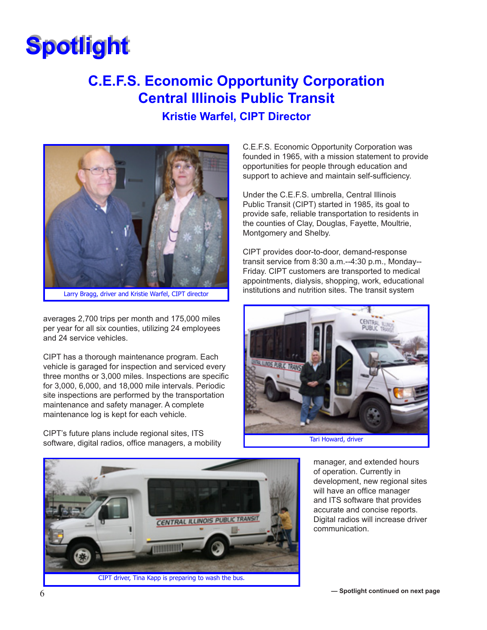# **Spotlight Spotlight**

# **C.E.F.S. Economic Opportunity Corporation Central Illinois Public Transit Kristie Warfel, CIPT Director**



Larry Bragg, driver and Kristie Warfel, CIPT director

averages 2,700 trips per month and 175,000 miles per year for all six counties, utilizing 24 employees and 24 service vehicles.

CIPT has a thorough maintenance program. Each vehicle is garaged for inspection and serviced every three months or 3,000 miles. Inspections are specific for 3,000, 6,000, and 18,000 mile intervals. Periodic site inspections are performed by the transportation maintenance and safety manager. A complete maintenance log is kept for each vehicle.

CIPT's future plans include regional sites, ITS software, digital radios, office managers, a mobility C.E.F.S. Economic Opportunity Corporation was founded in 1965, with a mission statement to provide opportunities for people through education and support to achieve and maintain self-sufficiency.

Under the C.E.F.S. umbrella, Central Illinois Public Transit (CIPT) started in 1985, its goal to provide safe, reliable transportation to residents in the counties of Clay, Douglas, Fayette, Moultrie, Montgomery and Shelby.

CIPT provides door-to-door, demand-response transit service from 8:30 a.m.--4:30 p.m., Monday-- Friday. CIPT customers are transported to medical appointments, dialysis, shopping, work, educational institutions and nutrition sites. The transit system



Tari Howard, driver



manager, and extended hours of operation. Currently in development, new regional sites will have an office manager and ITS software that provides accurate and concise reports. Digital radios will increase driver communication.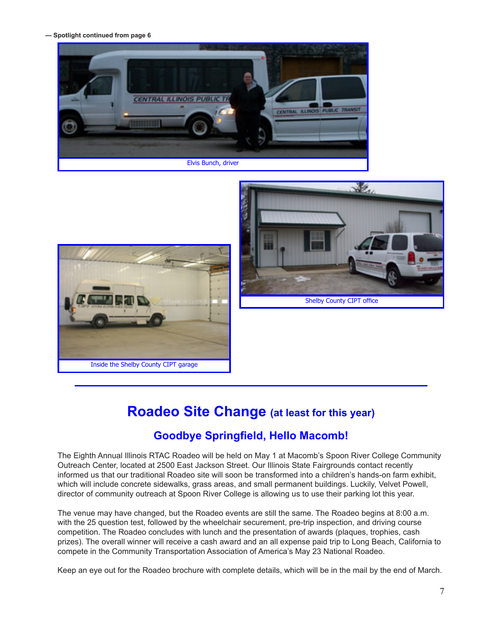**— Spotlight continued from page 6**





Shelby County CIPT office

### **Roadeo Site Change (at least for this year)**

#### **Goodbye Springfield, Hello Macomb!**

The Eighth Annual Illinois RTAC Roadeo will be held on May 1 at Macomb's Spoon River College Community Outreach Center, located at 2500 East Jackson Street. Our Illinois State Fairgrounds contact recently informed us that our traditional Roadeo site will soon be transformed into a children's hands-on farm exhibit, which will include concrete sidewalks, grass areas, and small permanent buildings. Luckily, Velvet Powell, director of community outreach at Spoon River College is allowing us to use their parking lot this year.

The venue may have changed, but the Roadeo events are still the same. The Roadeo begins at 8:00 a.m. with the 25 question test, followed by the wheelchair securement, pre-trip inspection, and driving course competition. The Roadeo concludes with lunch and the presentation of awards (plaques, trophies, cash prizes). The overall winner will receive a cash award and an all expense paid trip to Long Beach, California to compete in the Community Transportation Association of America's May 23 National Roadeo.

Keep an eye out for the Roadeo brochure with complete details, which will be in the mail by the end of March.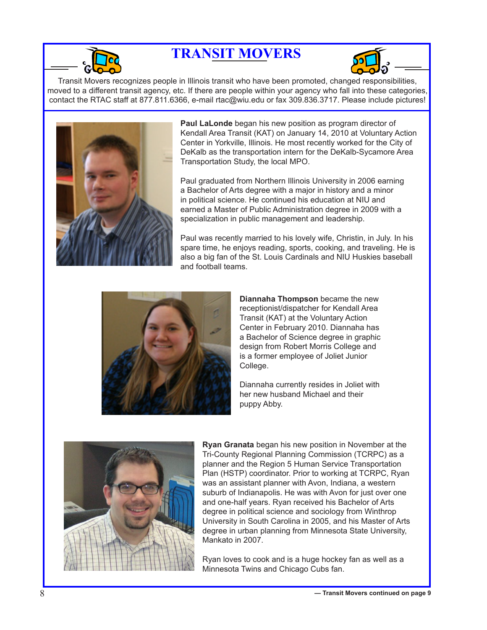

# **TRANSIT MOVERS**



Transit Movers recognizes people in Illinois transit who have been promoted, changed responsibilities, moved to a different transit agency, etc. If there are people within your agency who fall into these categories, contact the RTAC staff at 877.811.6366, e-mail rtac@wiu.edu or fax 309.836.3717. Please include pictures!



**Paul LaLonde** began his new position as program director of Kendall Area Transit (KAT) on January 14, 2010 at Voluntary Action Center in Yorkville, Illinois. He most recently worked for the City of DeKalb as the transportation intern for the DeKalb-Sycamore Area Transportation Study, the local MPO.

Paul graduated from Northern Illinois University in 2006 earning a Bachelor of Arts degree with a major in history and a minor in political science. He continued his education at NIU and earned a Master of Public Administration degree in 2009 with a specialization in public management and leadership.

Paul was recently married to his lovely wife, Christin, in July. In his spare time, he enjoys reading, sports, cooking, and traveling. He is also a big fan of the St. Louis Cardinals and NIU Huskies baseball and football teams.



**Diannaha Thompson** became the new receptionist/dispatcher for Kendall Area Transit (KAT) at the Voluntary Action Center in February 2010. Diannaha has a Bachelor of Science degree in graphic design from Robert Morris College and is a former employee of Joliet Junior College.

Diannaha currently resides in Joliet with her new husband Michael and their puppy Abby.



**Ryan Granata** began his new position in November at the Tri-County Regional Planning Commission (TCRPC) as a planner and the Region 5 Human Service Transportation Plan (HSTP) coordinator. Prior to working at TCRPC, Ryan was an assistant planner with Avon, Indiana, a western suburb of Indianapolis. He was with Avon for just over one and one-half years. Ryan received his Bachelor of Arts degree in political science and sociology from Winthrop University in South Carolina in 2005, and his Master of Arts degree in urban planning from Minnesota State University, Mankato in 2007.

Ryan loves to cook and is a huge hockey fan as well as a Minnesota Twins and Chicago Cubs fan.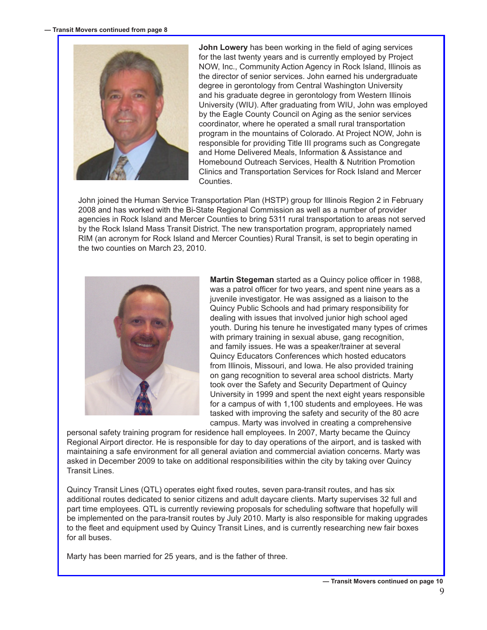

**John Lowery** has been working in the field of aging services for the last twenty years and is currently employed by Project NOW, Inc., Community Action Agency in Rock Island, Illinois as the director of senior services. John earned his undergraduate degree in gerontology from Central Washington University and his graduate degree in gerontology from Western Illinois University (WIU). After graduating from WIU, John was employed by the Eagle County Council on Aging as the senior services coordinator, where he operated a small rural transportation program in the mountains of Colorado. At Project NOW, John is responsible for providing Title III programs such as Congregate and Home Delivered Meals, Information & Assistance and Homebound Outreach Services, Health & Nutrition Promotion Clinics and Transportation Services for Rock Island and Mercer **Counties** 

John joined the Human Service Transportation Plan (HSTP) group for Illinois Region 2 in February 2008 and has worked with the Bi-State Regional Commission as well as a number of provider agencies in Rock Island and Mercer Counties to bring 5311 rural transportation to areas not served by the Rock Island Mass Transit District. The new transportation program, appropriately named RIM (an acronym for Rock Island and Mercer Counties) Rural Transit, is set to begin operating in the two counties on March 23, 2010.



**Martin Stegeman** started as a Quincy police officer in 1988, was a patrol officer for two years, and spent nine years as a juvenile investigator. He was assigned as a liaison to the Quincy Public Schools and had primary responsibility for dealing with issues that involved junior high school aged youth. During his tenure he investigated many types of crimes with primary training in sexual abuse, gang recognition, and family issues. He was a speaker/trainer at several Quincy Educators Conferences which hosted educators from Illinois, Missouri, and Iowa. He also provided training on gang recognition to several area school districts. Marty took over the Safety and Security Department of Quincy University in 1999 and spent the next eight years responsible for a campus of with 1,100 students and employees. He was tasked with improving the safety and security of the 80 acre campus. Marty was involved in creating a comprehensive

personal safety training program for residence hall employees. In 2007, Marty became the Quincy Regional Airport director. He is responsible for day to day operations of the airport, and is tasked with maintaining a safe environment for all general aviation and commercial aviation concerns. Marty was asked in December 2009 to take on additional responsibilities within the city by taking over Quincy Transit Lines.

Quincy Transit Lines (QTL) operates eight fixed routes, seven para-transit routes, and has six additional routes dedicated to senior citizens and adult daycare clients. Marty supervises 32 full and part time employees. QTL is currently reviewing proposals for scheduling software that hopefully will be implemented on the para-transit routes by July 2010. Marty is also responsible for making upgrades to the fleet and equipment used by Quincy Transit Lines, and is currently researching new fair boxes for all buses.

Marty has been married for 25 years, and is the father of three.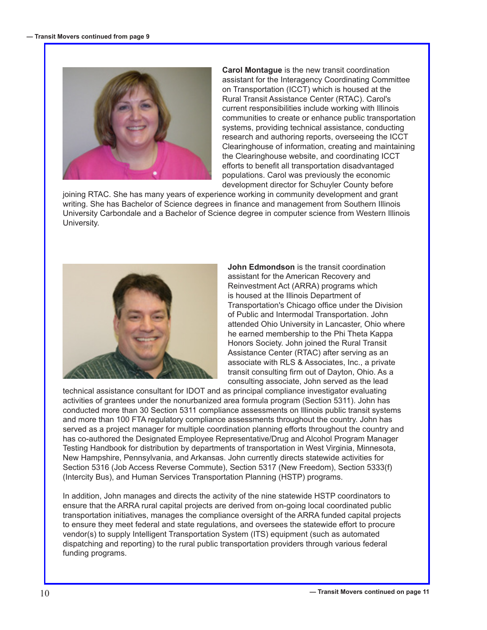

**Carol Montague** is the new transit coordination assistant for the Interagency Coordinating Committee on Transportation (ICCT) which is housed at the Rural Transit Assistance Center (RTAC). Carol's current responsibilities include working with Illinois communities to create or enhance public transportation systems, providing technical assistance, conducting research and authoring reports, overseeing the ICCT Clearinghouse of information, creating and maintaining the Clearinghouse website, and coordinating ICCT efforts to benefit all transportation disadvantaged populations. Carol was previously the economic development director for Schuyler County before

joining RTAC. She has many years of experience working in community development and grant writing. She has Bachelor of Science degrees in finance and management from Southern Illinois University Carbondale and a Bachelor of Science degree in computer science from Western Illinois University.



**John Edmondson** is the transit coordination assistant for the American Recovery and Reinvestment Act (ARRA) programs which is housed at the Illinois Department of Transportation's Chicago office under the Division of Public and Intermodal Transportation. John attended Ohio University in Lancaster, Ohio where he earned membership to the Phi Theta Kappa Honors Society. John joined the Rural Transit Assistance Center (RTAC) after serving as an associate with RLS & Associates, Inc., a private transit consulting firm out of Dayton, Ohio. As a consulting associate, John served as the lead

technical assistance consultant for IDOT and as principal compliance investigator evaluating activities of grantees under the nonurbanized area formula program (Section 5311). John has conducted more than 30 Section 5311 compliance assessments on Illinois public transit systems and more than 100 FTA regulatory compliance assessments throughout the country. John has served as a project manager for multiple coordination planning efforts throughout the country and has co-authored the Designated Employee Representative/Drug and Alcohol Program Manager Testing Handbook for distribution by departments of transportation in West Virginia, Minnesota, New Hampshire, Pennsylvania, and Arkansas. John currently directs statewide activities for Section 5316 (Job Access Reverse Commute), Section 5317 (New Freedom), Section 5333(f) (Intercity Bus), and Human Services Transportation Planning (HSTP) programs.

In addition, John manages and directs the activity of the nine statewide HSTP coordinators to ensure that the ARRA rural capital projects are derived from on-going local coordinated public transportation initiatives, manages the compliance oversight of the ARRA funded capital projects to ensure they meet federal and state regulations, and oversees the statewide effort to procure vendor(s) to supply Intelligent Transportation System (ITS) equipment (such as automated dispatching and reporting) to the rural public transportation providers through various federal funding programs.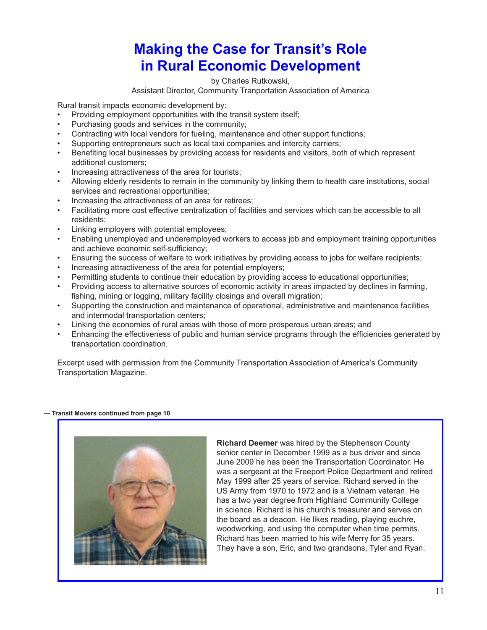# **Making the Case for Transit's Role in Rural Economic Development**

by Charles Rutkowski,

#### Assistant Director, Community Tranportation Association of America

Rural transit impacts economic development by:

- Providing employment opportunities with the transit system itself;
- Purchasing goods and services in the community;
- Contracting with local vendors for fueling, maintenance and other support functions;
- Supporting entrepreneurs such as local taxi companies and intercity carriers;
- Benefiting local businesses by providing access for residents and visitors, both of which represent additional customers;
- Increasing attractiveness of the area for tourists:
- Allowing elderly residents to remain in the community by linking them to health care institutions, social services and recreational opportunities;
- Increasing the attractiveness of an area for retirees;
- Facilitating more cost effective centralization of facilities and services which can be accessible to all residents;
- Linking employers with potential employees;
- Enabling unemployed and underemployed workers to access job and employment training opportunities and achieve economic self-sufficiency;
- Ensuring the success of welfare to work initiatives by providing access to jobs for welfare recipients;
- Increasing attractiveness of the area for potential employers;
- Permitting students to continue their education by providing access to educational opportunities;
- Providing access to alternative sources of economic activity in areas impacted by declines in farming, fishing, mining or logging, military facility closings and overall migration;
- Supporting the construction and maintenance of operational, administrative and maintenance facilities and intermodal transportation centers;
- Linking the economies of rural areas with those of more prosperous urban areas; and
- Enhancing the effectiveness of public and human service programs through the efficiencies generated by transportation coordination.

Excerpt used with permission from the Community Transportation Association of America's Community Transportation Magazine.

#### **— Transit Movers continued from page 10**



**Richard Deemer** was hired by the Stephenson County senior center in December 1999 as a bus driver and since June 2009 he has been the Transportation Coordinator. He was a sergeant at the Freeport Police Department and retired May 1999 after 25 years of service. Richard served in the US Army from 1970 to 1972 and is a Vietnam veteran. He has a two year degree from Highland Community College in science. Richard is his church's treasurer and serves on the board as a deacon. He likes reading, playing euchre, woodworking, and using the computer when time permits. Richard has been married to his wife Merry for 35 years. They have a son, Eric, and two grandsons, Tyler and Ryan.